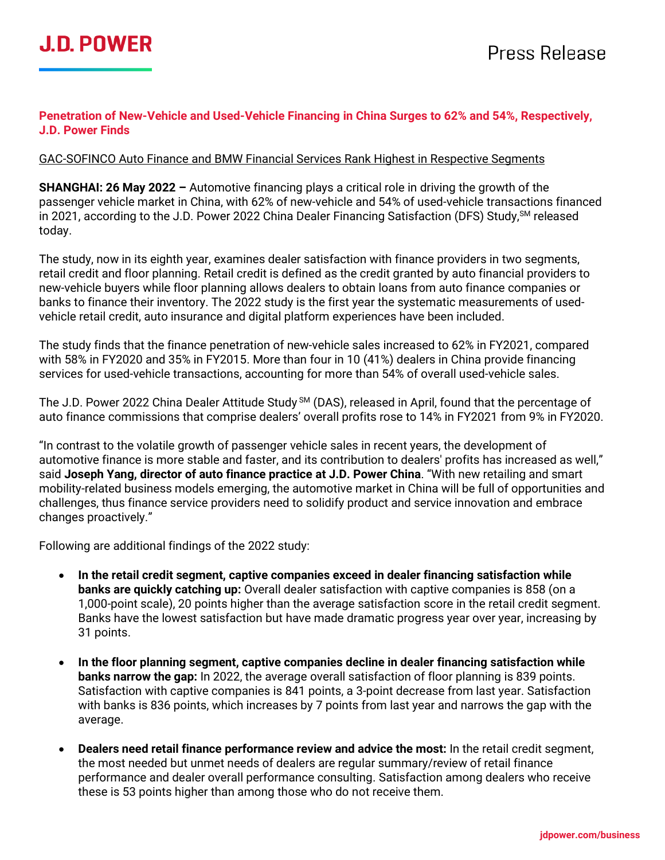## **Penetration of New-Vehicle and Used-Vehicle Financing in China Surges to 62% and 54%, Respectively, J.D. Power Finds**

## GAC-SOFINCO Auto Finance and BMW Financial Services Rank Highest in Respective Segments

**SHANGHAI: 26 May 2022 –** Automotive financing plays a critical role in driving the growth of the passenger vehicle market in China, with 62% of new-vehicle and 54% of used-vehicle transactions financed in 2021, according to the J.D. Power 2022 China Dealer Financing Satisfaction (DFS) Study, <sup>SM</sup> released today.

The study, now in its eighth year, examines dealer satisfaction with finance providers in two segments, retail credit and floor planning. Retail credit is defined as the credit granted by auto financial providers to new-vehicle buyers while floor planning allows dealers to obtain loans from auto finance companies or banks to finance their inventory. The 2022 study is the first year the systematic measurements of usedvehicle retail credit, auto insurance and digital platform experiences have been included.

The study finds that the finance penetration of new-vehicle sales increased to 62% in FY2021, compared with 58% in FY2020 and 35% in FY2015. More than four in 10 (41%) dealers in China provide financing services for used-vehicle transactions, accounting for more than 54% of overall used-vehicle sales.

The J.D. Power 2022 China Dealer Attitude Study SM (DAS), released in April, found that the percentage of auto finance commissions that comprise dealers' overall profits rose to 14% in FY2021 from 9% in FY2020.

"In contrast to the volatile growth of passenger vehicle sales in recent years, the development of automotive finance is more stable and faster, and its contribution to dealers' profits has increased as well," said **Joseph Yang, director of auto finance practice at J.D. Power China**. "With new retailing and smart mobility-related business models emerging, the automotive market in China will be full of opportunities and challenges, thus finance service providers need to solidify product and service innovation and embrace changes proactively."

Following are additional findings of the 2022 study:

- **In the retail credit segment, captive companies exceed in dealer financing satisfaction while banks are quickly catching up:** Overall dealer satisfaction with captive companies is 858 (on a 1,000-point scale), 20 points higher than the average satisfaction score in the retail credit segment. Banks have the lowest satisfaction but have made dramatic progress year over year, increasing by 31 points.
- **In the floor planning segment, captive companies decline in dealer financing satisfaction while banks narrow the gap:** In 2022, the average overall satisfaction of floor planning is 839 points. Satisfaction with captive companies is 841 points, a 3-point decrease from last year. Satisfaction with banks is 836 points, which increases by 7 points from last year and narrows the gap with the average.
- **Dealers need retail finance performance review and advice the most:** In the retail credit segment, the most needed but unmet needs of dealers are regular summary/review of retail finance performance and dealer overall performance consulting. Satisfaction among dealers who receive these is 53 points higher than among those who do not receive them.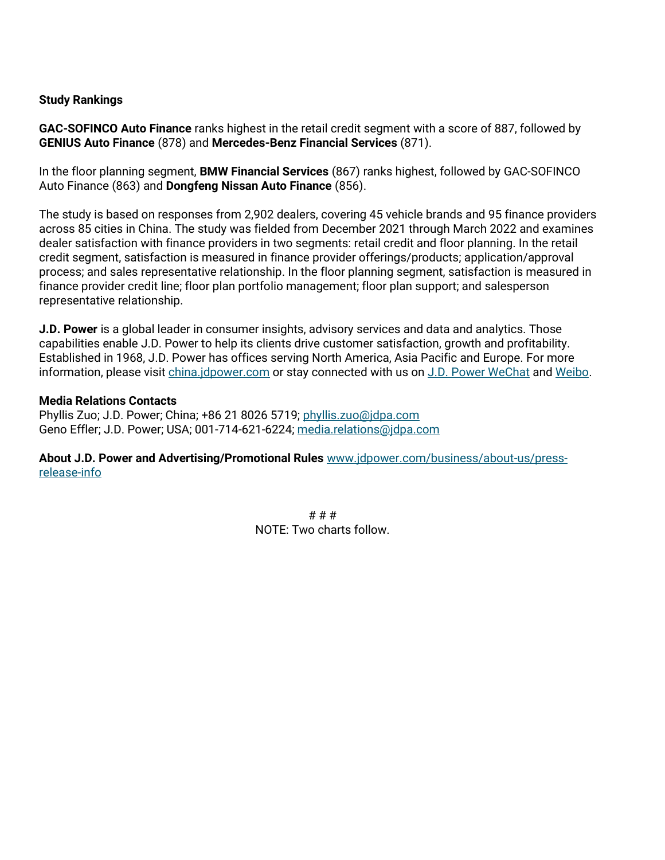#### **Study Rankings**

**GAC-SOFINCO Auto Finance** ranks highest in the retail credit segment with a score of 887, followed by **GENIUS Auto Finance** (878) and **Mercedes-Benz Financial Services** (871).

In the floor planning segment, **BMW Financial Services** (867) ranks highest, followed by GAC-SOFINCO Auto Finance (863) and **Dongfeng Nissan Auto Finance** (856).

The study is based on responses from 2,902 dealers, covering 45 vehicle brands and 95 finance providers across 85 cities in China. The study was fielded from December 2021 through March 2022 and examines dealer satisfaction with finance providers in two segments: retail credit and floor planning. In the retail credit segment, satisfaction is measured in finance provider offerings/products; application/approval process; and sales representative relationship. In the floor planning segment, satisfaction is measured in finance provider credit line; floor plan portfolio management; floor plan support; and salesperson representative relationship.

**J.D. Power** is a global leader in consumer insights, advisory services and data and analytics. Those capabilities enable J.D. Power to help its clients drive customer satisfaction, growth and profitability. Established in 1968, J.D. Power has offices serving North America, Asia Pacific and Europe. For more information, please visit [china.jdpower.com](https://china.jdpower.com/zh-hans) or stay connected with us on [J.D. Power WeChat](https://china.jdpower.com/resource/social-media-china) and [Weibo.](https://www.weibo.com/jdpowerchina)

#### **Media Relations Contacts**

Phyllis Zuo; J.D. Power; China; +86 21 8026 5719; [phyllis.zuo@jdpa.com](mailto:phyllis.zuo@jdpa.com) Geno Effler; J.D. Power; USA; 001-714-621-6224; [media.relations@jdpa.com](mailto:media.relations@jdpa.com)

**About J.D. Power and Advertising/Promotional Rules** [www.jdpower.com/business/about-us/press](http://www.jdpower.com/business/about-us/press-release-info)[release-info](http://www.jdpower.com/business/about-us/press-release-info)

> # # # NOTE: Two charts follow.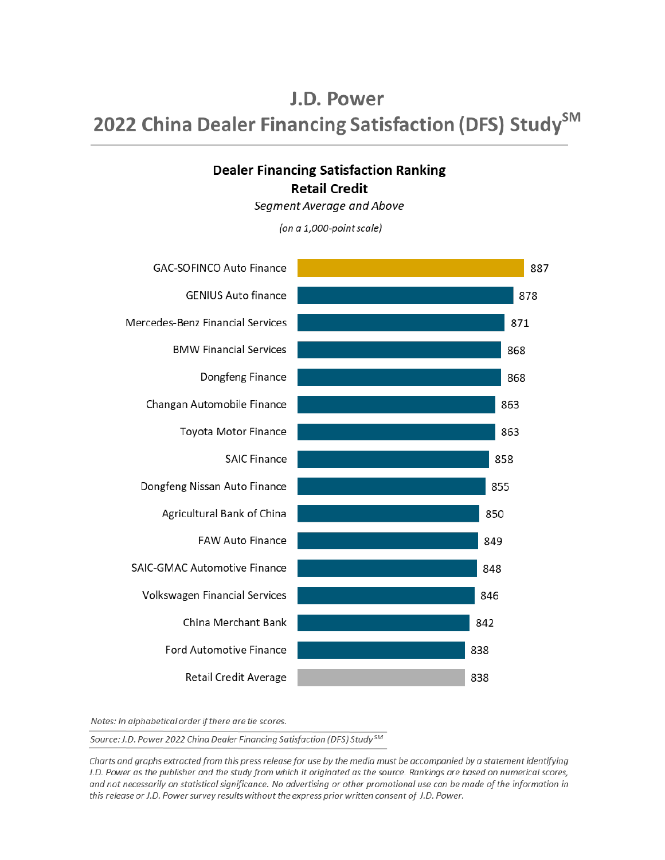# J.D. Power 2022 China Dealer Financing Satisfaction (DFS) Study<sup>SM</sup>

# **Dealer Financing Satisfaction Ranking Retail Credit**

Segment Average and Above

(on a 1,000-point scale)



Notes: In alphabetical order if there are tie scores.

Source: J.D. Power 2022 China Dealer Financing Satisfaction (DFS) Study<sup>SM</sup>

Charts and graphs extracted from this press release for use by the media must be accompanied by a statement identifying J.D. Power as the publisher and the study from which it originated as the source. Rankings are based on numerical scores, and not necessarily on statistical significance. No advertising or other promotional use can be made of the information in this release or J.D. Power survey results without the express prior written consent of J.D. Power.